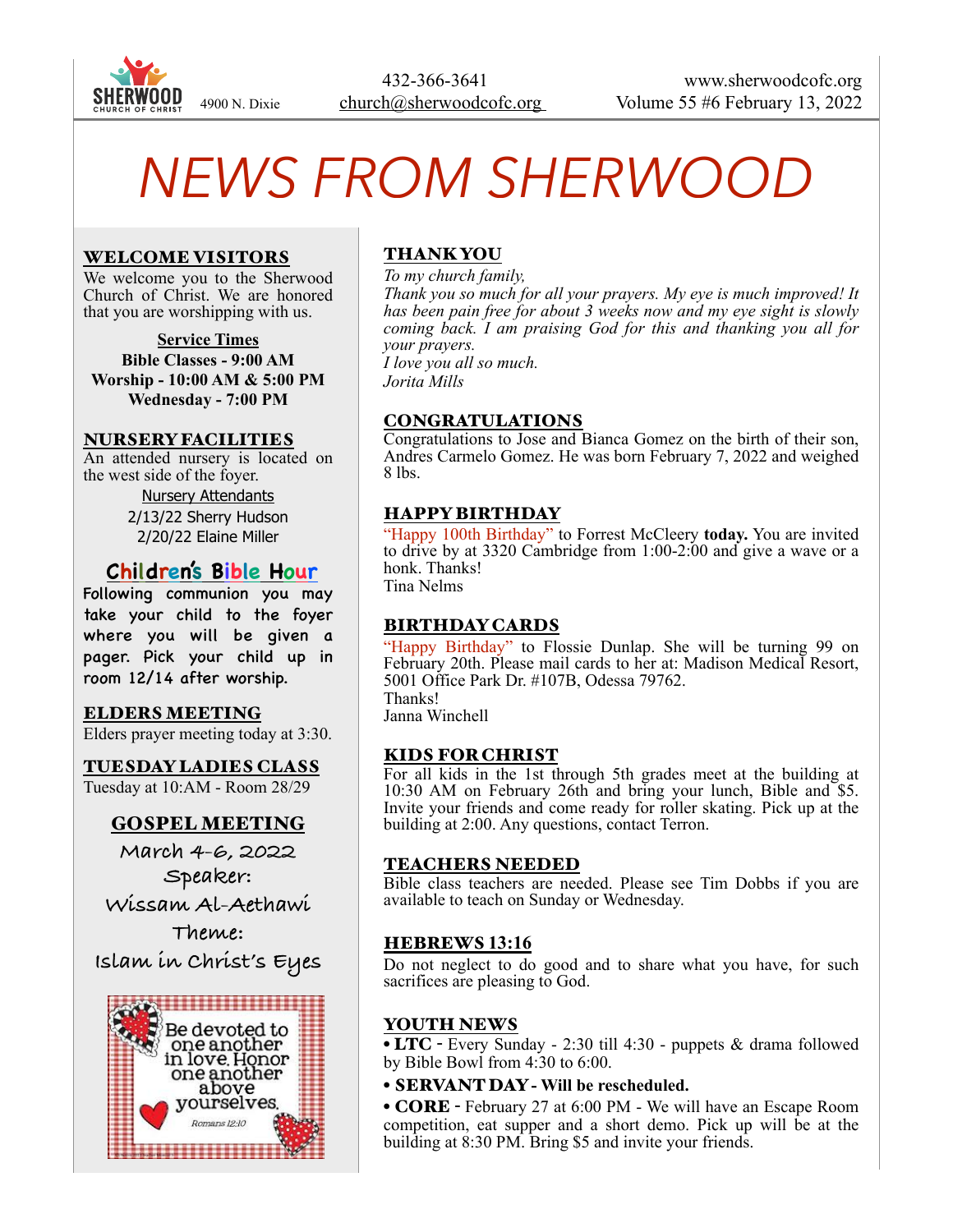

# *NEWS FROM SHERWOOD*

#### WELCOME VISITORS

We welcome you to the Sherwood Church of Christ. We are honored that you are worshipping with us.

**Service Times Bible Classes - 9:00 AM Worship - 10:00 AM & 5:00 PM Wednesday - 7:00 PM**

#### NURSERY FACILITIES

An attended nursery is located on the west side of the foyer. Nursery Attendants

2/13/22 Sherry Hudson 2/20/22 Elaine Miller

## **Children's Bible Hour**

Following communion you may take your child to the foyer where you will be given a pager. Pick your child up in room 12/14 after worship.

#### ELDERS MEETING

Elders prayer meeting today at 3:30.

TUESDAY LADIES CLASS Tuesday at 10:AM - Room 28/29

### GOSPEL MEETING

**March 4-6, 2022 Speaker: Wissam Al-Aethawi Theme:**

**Islam in Christ's Eyes**



## THANK YOU

*To my church family, Thank you so much for all your prayers. My eye is much improved! It has been pain free for about 3 weeks now and my eye sight is slowly coming back. I am praising God for this and thanking you all for your prayers. I love you all so much. Jorita Mills*

CONGRATULATIONS

Congratulations to Jose and Bianca Gomez on the birth of their son, Andres Carmelo Gomez. He was born February 7, 2022 and weighed 8 lbs.

#### HAPPY BIRTHDAY

"Happy 100th Birthday" to Forrest McCleery **today.** You are invited to drive by at 3320 Cambridge from 1:00-2:00 and give a wave or a honk. Thanks! Tina Nelms

#### BIRTHDAY CARDS

"Happy Birthday" to Flossie Dunlap. She will be turning 99 on February 20th. Please mail cards to her at: Madison Medical Resort, 5001 Office Park Dr. #107B, Odessa 79762. Thanks!

Janna Winchell

#### KIDS FOR CHRIST

For all kids in the 1st through 5th grades meet at the building at 10:30 AM on February 26th and bring your lunch, Bible and \$5. Invite your friends and come ready for roller skating. Pick up at the building at 2:00. Any questions, contact Terron.

#### TEACHERS NEEDED

Bible class teachers are needed. Please see Tim Dobbs if you are available to teach on Sunday or Wednesday.

#### HEBREWS **13:16**

Do not neglect to do good and to share what you have, for such sacrifices are pleasing to God.

#### YOUTH NEWS

• LTC - Every Sunday - 2:30 till 4:30 - puppets & drama followed by Bible Bowl from 4:30 to 6:00.

• SERVANT DAY **- Will be rescheduled.** 

• CORE - February 27 at 6:00 PM - We will have an Escape Room competition, eat supper and a short demo. Pick up will be at the building at 8:30 PM. Bring \$5 and invite your friends.